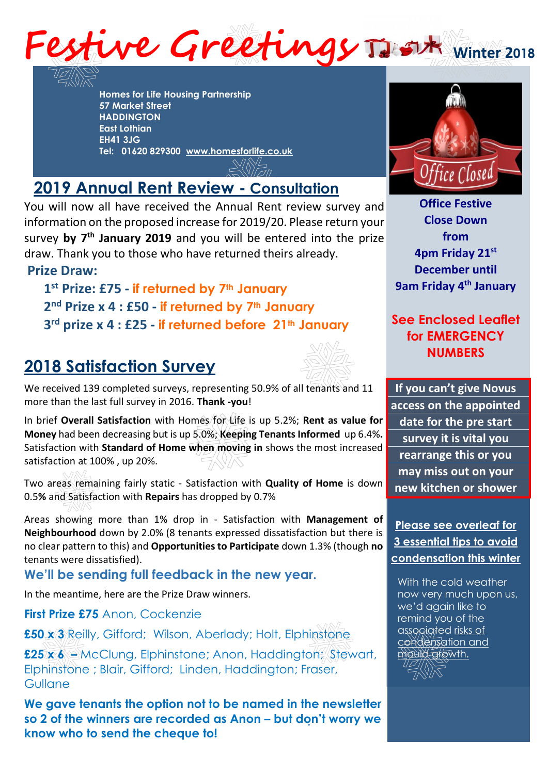

**Homes for Life Housing Partnership 57 Market Street HADDINGTON East Lothian EH41 3JG Tel: 01620 829300 [www.homesforlife.co.uk](http://www.homesforlife.co.uk/)**

## **2019 Annual Rent Review - Consultation**

You will now all have received the Annual Rent review survey and information on the proposed increase for 2019/20. Please return your anormation of the proposed increase for 2019/20.1 rease return your<br>survey by 7<sup>th</sup> January 2019 and you will be entered into the prize draw. Thank you to those who have returned theirs already.

## **Prize Draw:**

**1 st Prize: £75 - if returned by 7th January 2 nd Prize x 4 : £50 - if returned by 7th January 3 rd prize x 4 : £25 - if returned before 21th January** 

## **2018 Satisfaction Survey**



We received 139 completed surveys, representing 50.9% of all tenants and 11 more than the last full survey in 2016. **Thank -you**!

In brief **Overall Satisfaction** with Homes for Life is up 5.2%; **Rent as value for Money** had been decreasing but is up 5.0%; **Keeping Tenants Informed** up 6.4%**.**  Satisfaction with **Standard of Home when moving in** shows the most increased satisfaction at 100% , up 20%.

Two areas remaining fairly static - Satisfaction with **Quality of Home** is down 0.5**%** and Satisfaction with **Repairs** has dropped by 0.7%

Areas showing more than 1% drop in - Satisfaction with **Management of Neighbourhood** down by 2.0% (8 tenants expressed dissatisfaction but there is no clear pattern to this) and **Opportunities to Participate** down 1.3% (though **no** tenants were dissatisfied).

**We'll be sending full feedback in the new year.**

In the meantime, here are the Prize Draw winners.

**First Prize £75** Anon, Cockenzie

**£50 x 3** Reilly, Gifford; Wilson, Aberlady; Holt, Elphinstone

**£25 x 6 –** McClung, Elphinstone; Anon, Haddington; Stewart, Elphinstone ; Blair, Gifford; Linden, Haddington; Fraser, **Gullane** 

**. so 2 of the winners are recorded as Anon – but don't worry we We gave tenants the option not to be named in the newsletter know who to send the cheque to!**



**Office Festive Close Down from 4pm Friday 21 st December until 9am Friday 4 th January** 

## **See Enclosed Leaflet for EMERGENCY NUMBERS**

**If you can't give Novus access on the appointed date for the pre start survey it is vital you rearrange this or you may miss out on your new kitchen or shower**

**Please see overleaf for 3 essential tips to avoid condensation this winter**

With the cold weather now very much upon us, we'd again like to remind you of the associated risks of condensation and mould growth.

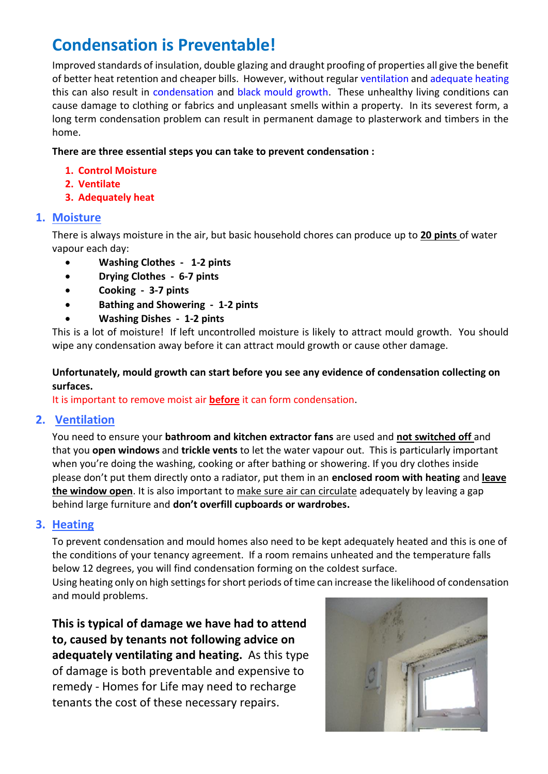## **Condensation is Preventable!**

Improved standards of insulation, double glazing and draught proofing of properties all give the benefit of better heat retention and cheaper bills. However, without regular ventilation and adequate heating this can also result in condensation and black mould growth. These unhealthy living conditions can cause damage to clothing or fabrics and unpleasant smells within a property. In its severest form, a long term condensation problem can result in permanent damage to plasterwork and timbers in the home.

#### **There are three essential steps you can take to prevent condensation :**

- **1. Control Moisture**
- **2. Ventilate**
- **3. Adequately heat**

#### **1. Moisture**

There is always moisture in the air, but basic household chores can produce up to **20 pints** of water vapour each day:

- **Washing Clothes 1-2 pints**
- **Drying Clothes 6-7 pints**
- **Cooking 3-7 pints**
- **Bathing and Showering 1-2 pints**
- **Washing Dishes 1-2 pints**

This is a lot of moisture! If left uncontrolled moisture is likely to attract mould growth. You should wipe any condensation away before it can attract mould growth or cause other damage.

#### **Unfortunately, mould growth can start before you see any evidence of condensation collecting on surfaces.**

It is important to remove moist air **before** it can form condensation.

#### **2. Ventilation**

You need to ensure your **bathroom and kitchen extractor fans** are used and **not switched off** and that you **open windows** and **trickle vents** to let the water vapour out. This is particularly important when you're doing the washing, cooking or after bathing or showering. If you dry clothes inside please don't put them directly onto a radiator, put them in an **enclosed room with heating** and **leave the window open**. It is also important to make sure air can circulate adequately by leaving a gap behind large furniture and **don't overfill cupboards or wardrobes.**

#### **3. Heating**

To prevent condensation and mould homes also need to be kept adequately heated and this is one of the conditions of your tenancy agreement. If a room remains unheated and the temperature falls below 12 degrees, you will find condensation forming on the coldest surface.

Using heating only on high settings for short periods of time can increase the likelihood of condensation and mould problems.

**This is typical of damage we have had to attend to, caused by tenants not following advice on adequately ventilating and heating.** As this type of damage is both preventable and expensive to remedy - Homes for Life may need to recharge tenants the cost of these necessary repairs.

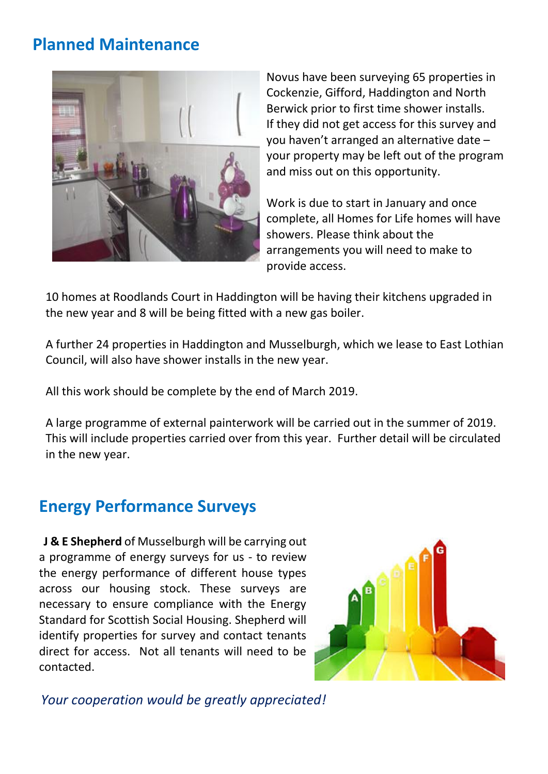## **Planned Maintenance**



Novus have been surveying 65 properties in Cockenzie, Gifford, Haddington and North Berwick prior to first time shower installs. If they did not get access for this survey and you haven't arranged an alternative date – your property may be left out of the program and miss out on this opportunity.

Work is due to start in January and once complete, all Homes for Life homes will have showers. Please think about the arrangements you will need to make to provide access.

10 homes at Roodlands Court in Haddington will be having their kitchens upgraded in the new year and 8 will be being fitted with a new gas boiler.

A further 24 properties in Haddington and Musselburgh, which we lease to East Lothian Council, will also have shower installs in the new year.

All this work should be complete by the end of March 2019.

A large programme of external painterwork will be carried out in the summer of 2019. This will include properties carried over from this year. Further detail will be circulated in the new year.

## **Energy Performance Surveys**

**J & E Shepherd** of Musselburgh will be carrying out a programme of energy surveys for us - to review the energy performance of different house types across our housing stock. These surveys are necessary to ensure compliance with the Energy Standard for Scottish Social Housing. Shepherd will identify properties for survey and contact tenants direct for access. Not all tenants will need to be contacted.



*Your cooperation would be greatly appreciated!*